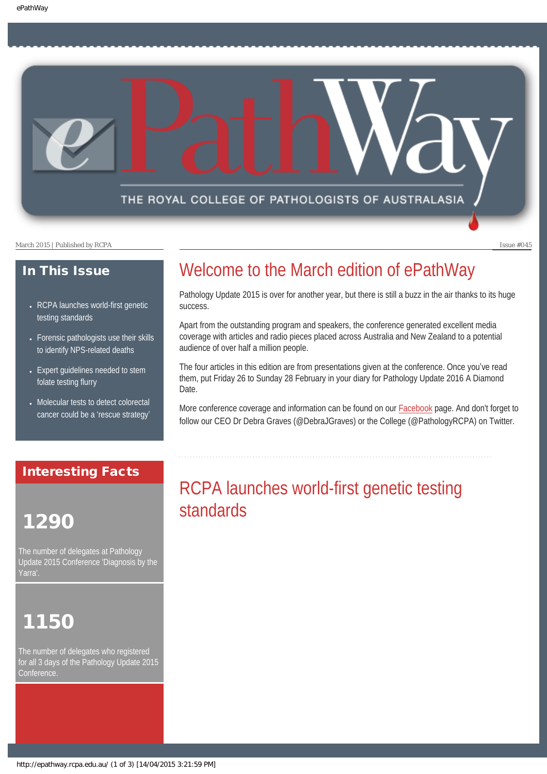THE ROYAL COLLEGE OF PATHOLOGISTS OF AUSTRALASIA

March 2015 | Published by RCPA Issue #045

#### In This Issue

- RCPA launches world-first genetic [testing standards](#page-0-0)
- Forensic pathologists use their skills [to identify NPS-related deaths](#page-1-0)
- [Expert guidelines needed to stem](#page-2-0) [folate testing flurry](#page-2-0)
- Molecular tests to detect colorectal [cancer could be a](#page-2-1) 'rescue strategy'

### Welcome to the March edition of ePathWay

Pathology Update 2015 is over for another year, but there is still a buzz in the air thanks to its huge success.

Apart from the outstanding program and speakers, the conference generated excellent media coverage with articles and radio pieces placed across Australia and New Zealand to a potential audience of over half a million people.

The four articles in this edition are from presentations given at the conference. Once you've read them, put Friday 26 to Sunday 28 February in your diary for Pathology Update 2016 A Diamond Date.

More conference coverage and information can be found on our [Facebook](https://www.facebook.com/TheRoyalCollegeOfPathologistsOfAustralasia) page. And don't forget to follow our CEO Dr Debra Graves (@DebraJGraves) or the College (@PathologyRCPA) on Twitter.

### <span id="page-0-0"></span>Interesting Facts

## 1290

The number of delegates at Pathology Update 2015 Conference 'Diagnosis by the Yarra

### 1150

The number of delegates who registered for all 3 days of the Pathology Update 2015 Conference.

### RCPA launches world-first genetic testing standards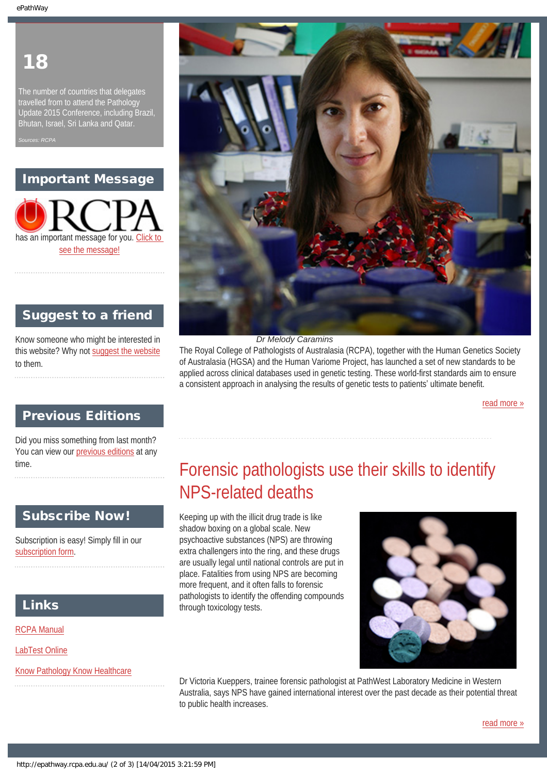### 18

The number of countries that delegates travelled from to attend the Pathology Update 2015 Conference, including Brazil, Bhutan, Israel, Sri Lanka and Qatar.

*Sources: RCPA*

### Important Message



### Suggest to a friend

Know someone who might be interested in this website? Why not [suggest the website](mailto:?Subject=I%20think%20you%20should%20read%20this%20Newsletter=
http://epathway.rcpa.edu.au/index.html) to them.

#### Previous Editions

<span id="page-1-0"></span>Did you miss something from last month? You can view our [previous editions](#page-3-0) at any time.

### Subscribe Now!

Subscription is easy! Simply fill in our [subscription form](http://epathway.rcpa.edu.au/subscription.html).

#### Links

[RCPA Manual](http://rcpamanual.edu.au/)

[LabTest Online](http://www.labtestsonline.org.au/)

[Know Pathology Know Healthcare](http://knowpathology.com.au/)



*Dr Melody Caramins*

The Royal College of Pathologists of Australasia (RCPA), together with the Human Genetics Society of Australasia (HGSA) and the Human Variome Project, has launched a set of new standards to be applied across clinical databases used in genetic testing. These world-first standards aim to ensure a consistent approach in analysing the results of genetic tests to patients' ultimate benefit.

[read more »](#page-5-0)

### Forensic pathologists use their skills to identify NPS-related deaths

Keeping up with the illicit drug trade is like shadow boxing on a global scale. New psychoactive substances (NPS) are throwing extra challengers into the ring, and these drugs are usually legal until national controls are put in place. Fatalities from using NPS are becoming more frequent, and it often falls to forensic pathologists to identify the offending compounds through toxicology tests.



Dr Victoria Kueppers, trainee forensic pathologist at PathWest Laboratory Medicine in Western Australia, says NPS have gained international interest over the past decade as their potential threat to public health increases.

[read more »](#page-7-0)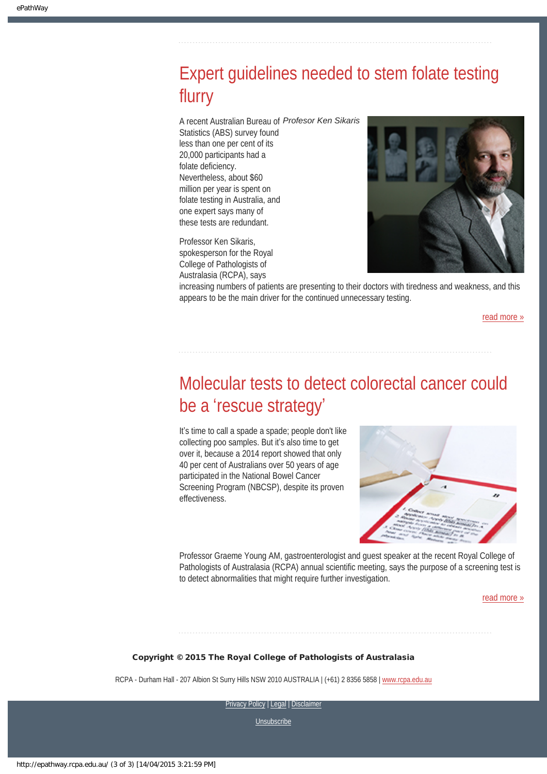### <span id="page-2-0"></span>Expert guidelines needed to stem folate testing flurry

A recent Australian Bureau of *Profesor Ken Sikaris*

Statistics (ABS) survey found less than one per cent of its 20,000 participants had a folate deficiency. Nevertheless, about \$60 million per year is spent on folate testing in Australia, and one expert says many of these tests are redundant.

Professor Ken Sikaris, spokesperson for the Royal College of Pathologists of Australasia (RCPA), says



increasing numbers of patients are presenting to their doctors with tiredness and weakness, and this appears to be the main driver for the continued unnecessary testing.

[read more »](#page-9-0)

### <span id="page-2-1"></span>Molecular tests to detect colorectal cancer could be a 'rescue strategy'

It's time to call a spade a spade; people don't like collecting poo samples. But it's also time to get over it, because a 2014 report showed that only 40 per cent of Australians over 50 years of age participated in the National Bowel Cancer Screening Program (NBCSP), despite its proven effectiveness.



Professor Graeme Young AM, gastroenterologist and guest speaker at the recent Royal College of Pathologists of Australasia (RCPA) annual scientific meeting, says the purpose of a screening test is to detect abnormalities that might require further investigation.

[read more »](#page-11-0)

#### Copyright © 2015 The Royal College of Pathologists of Australasia

RCPA - Durham Hall - 207 Albion St Surry Hills NSW 2010 AUSTRALIA | (+61) 2 8356 5858 | [www.rcpa.edu.au](http://www.rcpa.edu.au/)

[Privacy Policy](http://www.rcpa.edu.au/Content-Library/Privacy.aspx) | [Legal](http://www.rcpa.edu.au/Legal.aspx) | Disclaimer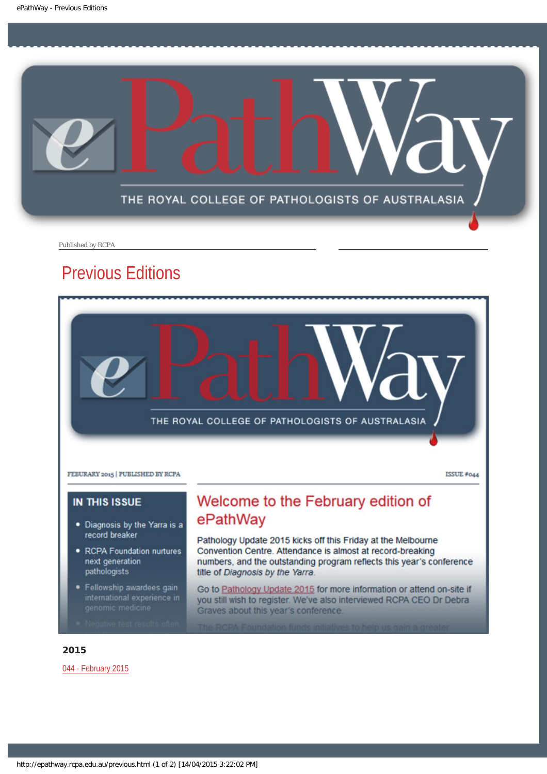<span id="page-3-0"></span>

Published by RCPA

### Previous Editions



- . Diagnosis by the Yarra is a record breaker
- RCPA Foundation nurtures next generation pathologists
- · Fellowship awardees gain

# ePathWay

Pathology Update 2015 kicks off this Friday at the Melbourne Convention Centre. Attendance is almost at record-breaking numbers, and the outstanding program reflects this year's conference title of Diagnosis by the Yarra.

Go to Pathology Update 2015 for more information or attend on-site if you still wish to register. We've also interviewed RCPA CEO Dr Debra Graves about this year's conference.

#### 2015

[044 - February 2015](http://epathway.rcpa.edu.au/previous/044_0215.pdf)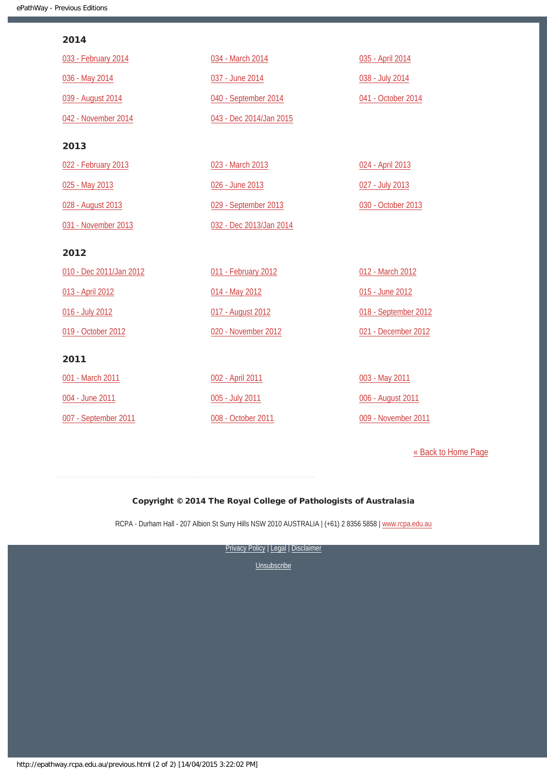#### 2014

| 033 - February 2014     | 034 - March 2014        | 035 - April 2014     |
|-------------------------|-------------------------|----------------------|
| 036 - May 2014          | 037 - June 2014         | 038 - July 2014      |
| 039 - August 2014       | 040 - September 2014    | 041 - October 2014   |
| 042 - November 2014     | 043 - Dec 2014/Jan 2015 |                      |
| 2013                    |                         |                      |
| 022 - February 2013     | 023 - March 2013        | 024 - April 2013     |
| 025 - May 2013          | 026 - June 2013         | 027 - July 2013      |
| 028 - August 2013       | 029 - September 2013    | 030 - October 2013   |
| 031 - November 2013     | 032 - Dec 2013/Jan 2014 |                      |
| 2012                    |                         |                      |
| 010 - Dec 2011/Jan 2012 | 011 - February 2012     | 012 - March 2012     |
| 013 - April 2012        | 014 - May 2012          | 015 - June 2012      |
| 016 - July 2012         | 017 - August 2012       | 018 - September 2012 |
| 019 - October 2012      | 020 - November 2012     | 021 - December 2012  |
| 2011                    |                         |                      |
| 001 - March 2011        | 002 - April 2011        | 003 - May 2011       |
| 004 - June 2011         |                         |                      |
|                         | 005 - July 2011         | 006 - August 2011    |

[« Back to Home Page](http://epathway.rcpa.edu.au/index.html)

#### Copyright © 2014 The Royal College of Pathologists of Australasia

RCPA - Durham Hall - 207 Albion St Surry Hills NSW 2010 AUSTRALIA | (+61) 2 8356 5858 | [www.rcpa.edu.au](http://www.rcpa.edu.au/)

[Privacy Policy](http://www.rcpa.edu.au/Content-Library/Privacy.aspx) | [Legal](http://www.rcpa.edu.au/Legal.aspx) | Disclaimer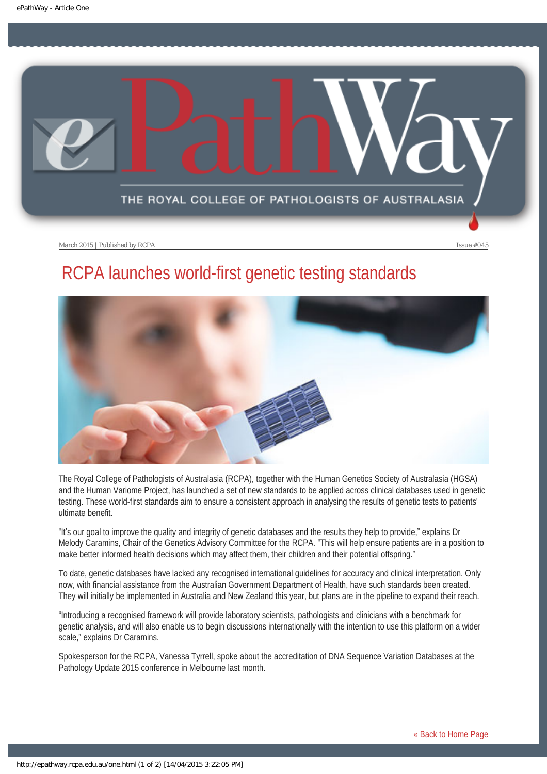<span id="page-5-0"></span>

March 2015 | Published by RCPA **Issue #045** 

### RCPA launches world-first genetic testing standards



The Royal College of Pathologists of Australasia (RCPA), together with the Human Genetics Society of Australasia (HGSA) and the Human Variome Project, has launched a set of new standards to be applied across clinical databases used in genetic testing. These world-first standards aim to ensure a consistent approach in analysing the results of genetic tests to patients' ultimate benefit.

"It's our goal to improve the quality and integrity of genetic databases and the results they help to provide," explains Dr Melody Caramins, Chair of the Genetics Advisory Committee for the RCPA. "This will help ensure patients are in a position to make better informed health decisions which may affect them, their children and their potential offspring."

To date, genetic databases have lacked any recognised international guidelines for accuracy and clinical interpretation. Only now, with financial assistance from the Australian Government Department of Health, have such standards been created. They will initially be implemented in Australia and New Zealand this year, but plans are in the pipeline to expand their reach.

"Introducing a recognised framework will provide laboratory scientists, pathologists and clinicians with a benchmark for genetic analysis, and will also enable us to begin discussions internationally with the intention to use this platform on a wider scale," explains Dr Caramins.

Spokesperson for the RCPA, Vanessa Tyrrell, spoke about the accreditation of DNA Sequence Variation Databases at the Pathology Update 2015 conference in Melbourne last month.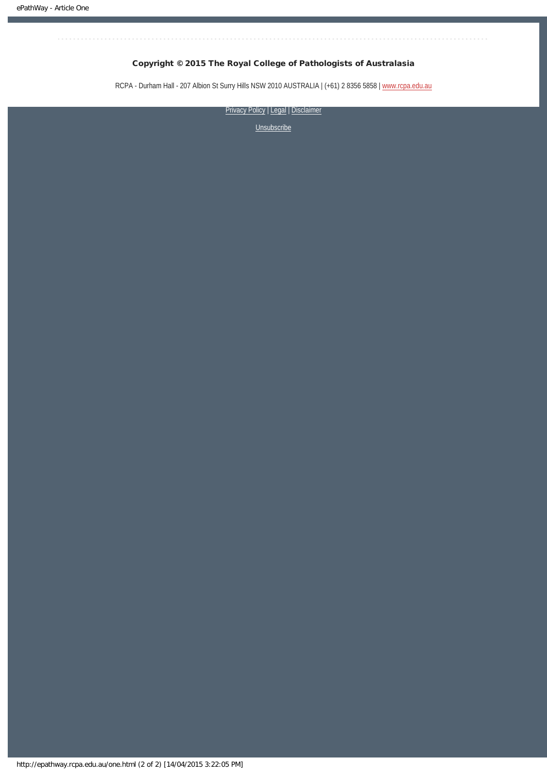#### Copyright © 2015 The Royal College of Pathologists of Australasia

RCPA - Durham Hall - 207 Albion St Surry Hills NSW 2010 AUSTRALIA | (+61) 2 8356 5858 | [www.rcpa.edu.au](http://www.rcpa.edu.au/)

[Privacy Policy](http://www.rcpa.edu.au/Content-Library/Privacy.aspx) | [Legal](http://www.rcpa.edu.au/Legal.aspx) | Disclaimer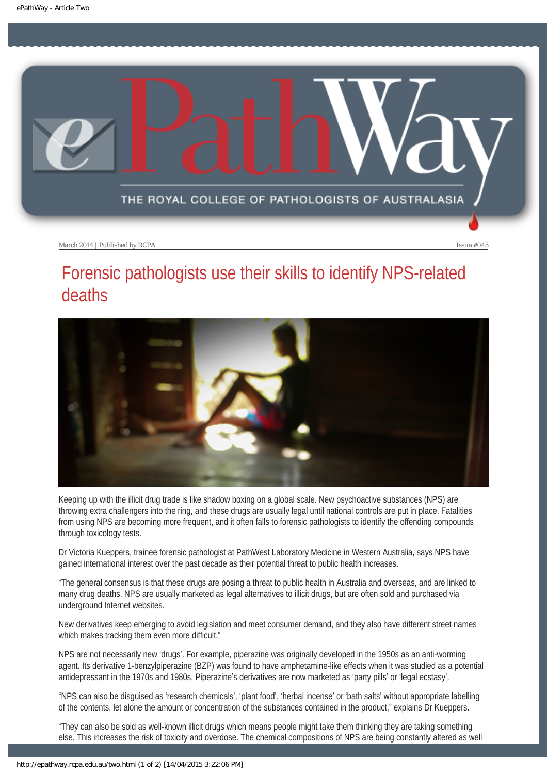<span id="page-7-0"></span>

March 2014 | Published by RCPA **Issue #045** 

### Forensic pathologists use their skills to identify NPS-related deaths



Keeping up with the illicit drug trade is like shadow boxing on a global scale. New psychoactive substances (NPS) are throwing extra challengers into the ring, and these drugs are usually legal until national controls are put in place. Fatalities from using NPS are becoming more frequent, and it often falls to forensic pathologists to identify the offending compounds through toxicology tests.

Dr Victoria Kueppers, trainee forensic pathologist at PathWest Laboratory Medicine in Western Australia, says NPS have gained international interest over the past decade as their potential threat to public health increases.

"The general consensus is that these drugs are posing a threat to public health in Australia and overseas, and are linked to many drug deaths. NPS are usually marketed as legal alternatives to illicit drugs, but are often sold and purchased via underground Internet websites.

New derivatives keep emerging to avoid legislation and meet consumer demand, and they also have different street names which makes tracking them even more difficult."

NPS are not necessarily new 'drugs'. For example, piperazine was originally developed in the 1950s as an anti-worming agent. Its derivative 1-benzylpiperazine (BZP) was found to have amphetamine-like effects when it was studied as a potential antidepressant in the 1970s and 1980s. Piperazine's derivatives are now marketed as 'party pills' or 'legal ecstasy'.

"NPS can also be disguised as 'research chemicals', 'plant food', 'herbal incense' or 'bath salts' without appropriate labelling of the contents, let alone the amount or concentration of the substances contained in the product," explains Dr Kueppers.

"They can also be sold as well-known illicit drugs which means people might take them thinking they are taking something else. This increases the risk of toxicity and overdose. The chemical compositions of NPS are being constantly altered as well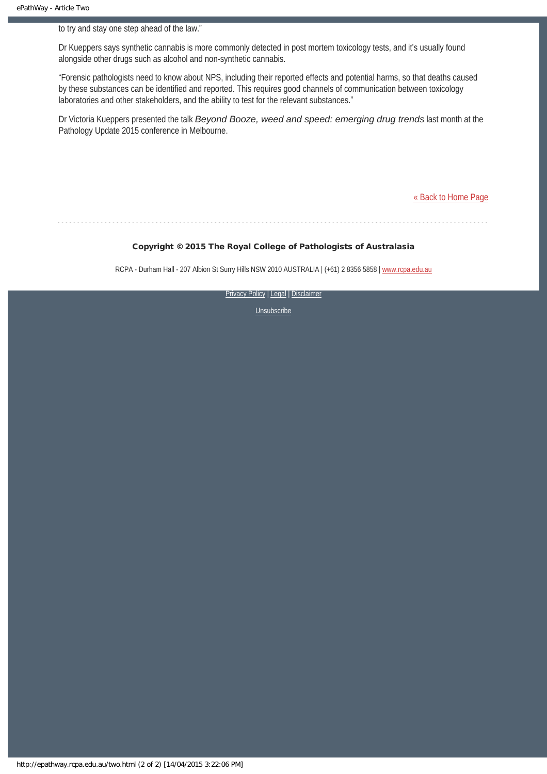to try and stay one step ahead of the law."

Dr Kueppers says synthetic cannabis is more commonly detected in post mortem toxicology tests, and it's usually found alongside other drugs such as alcohol and non-synthetic cannabis.

"Forensic pathologists need to know about NPS, including their reported effects and potential harms, so that deaths caused by these substances can be identified and reported. This requires good channels of communication between toxicology laboratories and other stakeholders, and the ability to test for the relevant substances."

Dr Victoria Kueppers presented the talk *Beyond Booze, weed and speed: emerging drug trends* last month at the Pathology Update 2015 conference in Melbourne.

[« Back to Home Page](http://epathway.rcpa.edu.au/index.html)

#### Copyright © 2015 The Royal College of Pathologists of Australasia

RCPA - Durham Hall - 207 Albion St Surry Hills NSW 2010 AUSTRALIA | (+61) 2 8356 5858 | [www.rcpa.edu.au](http://www.rcpa.edu.au/)

[Privacy Policy](http://www.rcpa.edu.au/Content-Library/Privacy.aspx) | [Legal](http://www.rcpa.edu.au/Legal.aspx) | Disclaimer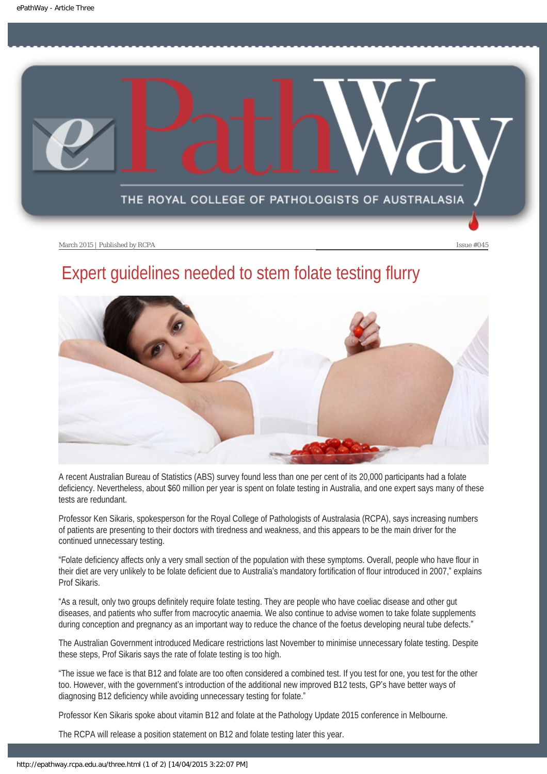<span id="page-9-0"></span>

March 2015 | Published by RCPA **Issue #045** 

### Expert guidelines needed to stem folate testing flurry



A recent Australian Bureau of Statistics (ABS) survey found less than one per cent of its 20,000 participants had a folate deficiency. Nevertheless, about \$60 million per year is spent on folate testing in Australia, and one expert says many of these tests are redundant.

Professor Ken Sikaris, spokesperson for the Royal College of Pathologists of Australasia (RCPA), says increasing numbers of patients are presenting to their doctors with tiredness and weakness, and this appears to be the main driver for the continued unnecessary testing.

"Folate deficiency affects only a very small section of the population with these symptoms. Overall, people who have flour in their diet are very unlikely to be folate deficient due to Australia's mandatory fortification of flour introduced in 2007," explains Prof Sikaris.

"As a result, only two groups definitely require folate testing. They are people who have coeliac disease and other gut diseases, and patients who suffer from macrocytic anaemia. We also continue to advise women to take folate supplements during conception and pregnancy as an important way to reduce the chance of the foetus developing neural tube defects."

The Australian Government introduced Medicare restrictions last November to minimise unnecessary folate testing. Despite these steps, Prof Sikaris says the rate of folate testing is too high.

"The issue we face is that B12 and folate are too often considered a combined test. If you test for one, you test for the other too. However, with the government's introduction of the additional new improved B12 tests, GP's have better ways of diagnosing B12 deficiency while avoiding unnecessary testing for folate."

Professor Ken Sikaris spoke about vitamin B12 and folate at the Pathology Update 2015 conference in Melbourne.

The RCPA will release a position statement on B12 and folate testing later this year.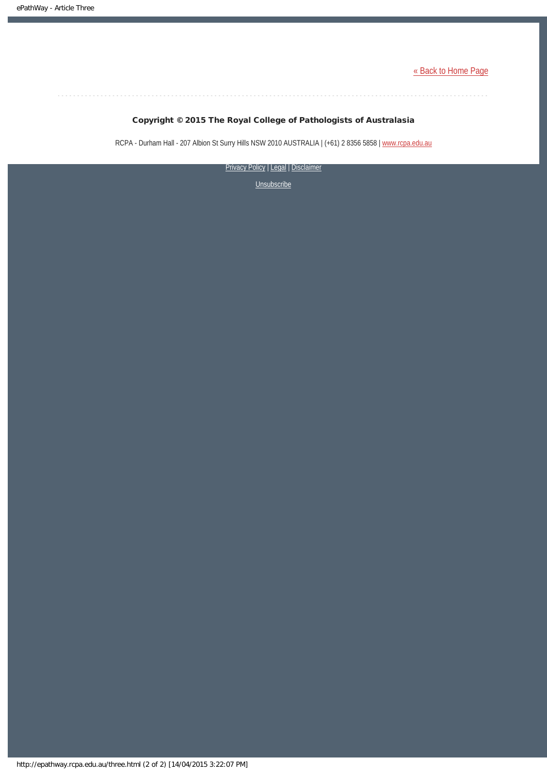[« Back to Home Page](http://epathway.rcpa.edu.au/index.html)

#### Copyright © 2015 The Royal College of Pathologists of Australasia

RCPA - Durham Hall - 207 Albion St Surry Hills NSW 2010 AUSTRALIA | (+61) 2 8356 5858 | [www.rcpa.edu.au](http://www.rcpa.edu.au/)

[Privacy Policy](http://www.rcpa.edu.au/Content-Library/Privacy.aspx) | [Legal](http://www.rcpa.edu.au/Legal.aspx) | Disclaimer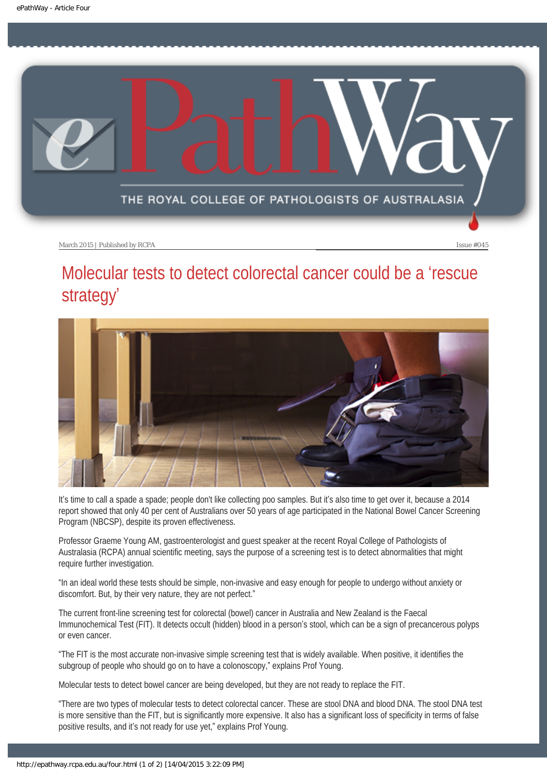<span id="page-11-0"></span>

March 2015 | Published by RCPA **Issue #045** 

### Molecular tests to detect colorectal cancer could be a 'rescue strategy'



It's time to call a spade a spade; people don't like collecting poo samples. But it's also time to get over it, because a 2014 report showed that only 40 per cent of Australians over 50 years of age participated in the National Bowel Cancer Screening Program (NBCSP), despite its proven effectiveness.

Professor Graeme Young AM, gastroenterologist and guest speaker at the recent Royal College of Pathologists of Australasia (RCPA) annual scientific meeting, says the purpose of a screening test is to detect abnormalities that might require further investigation.

"In an ideal world these tests should be simple, non-invasive and easy enough for people to undergo without anxiety or discomfort. But, by their very nature, they are not perfect."

The current front-line screening test for colorectal (bowel) cancer in Australia and New Zealand is the Faecal Immunochemical Test (FIT). It detects occult (hidden) blood in a person's stool, which can be a sign of precancerous polyps or even cancer.

"The FIT is the most accurate non-invasive simple screening test that is widely available. When positive, it identifies the subgroup of people who should go on to have a colonoscopy," explains Prof Young.

Molecular tests to detect bowel cancer are being developed, but they are not ready to replace the FIT.

"There are two types of molecular tests to detect colorectal cancer. These are stool DNA and blood DNA. The stool DNA test is more sensitive than the FIT, but is significantly more expensive. It also has a significant loss of specificity in terms of false positive results, and it's not ready for use yet," explains Prof Young.